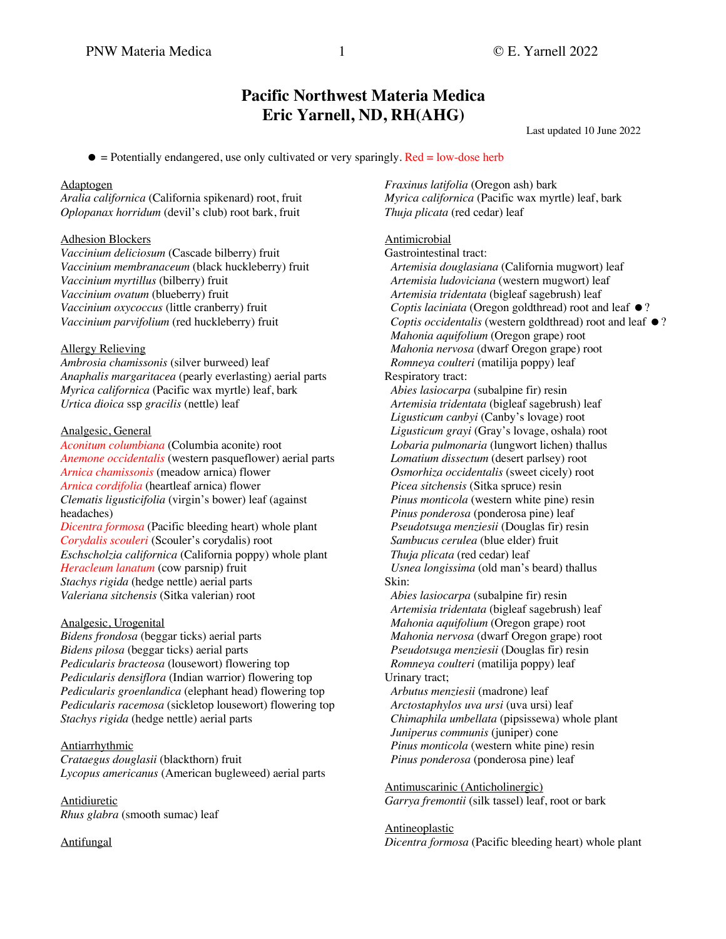# **Pacific Northwest Materia Medica Eric Yarnell, ND, RH(AHG)**

Last updated 10 June 2022

 $\bullet$  = Potentially endangered, use only cultivated or very sparingly. Red = low-dose herb

## Adaptogen

*Aralia californica* (California spikenard) root, fruit *Oplopanax horridum* (devil's club) root bark, fruit

## Adhesion Blockers

*Vaccinium deliciosum* (Cascade bilberry) fruit *Vaccinium membranaceum* (black huckleberry) fruit *Vaccinium myrtillus* (bilberry) fruit *Vaccinium ovatum* (blueberry) fruit *Vaccinium oxycoccus* (little cranberry) fruit *Vaccinium parvifolium* (red huckleberry) fruit

## Allergy Relieving

*Ambrosia chamissonis* (silver burweed) leaf *Anaphalis margaritacea* (pearly everlasting) aerial parts *Myrica californica* (Pacific wax myrtle) leaf, bark *Urtica dioica* ssp *gracilis* (nettle) leaf

## Analgesic, General

*Aconitum columbiana* (Columbia aconite) root *Anemone occidentalis* (western pasqueflower) aerial parts *Arnica chamissonis* (meadow arnica) flower *Arnica cordifolia* (heartleaf arnica) flower *Clematis ligusticifolia* (virgin's bower) leaf (against headaches) *Dicentra formosa* (Pacific bleeding heart) whole plant *Corydalis scouleri* (Scouler's corydalis) root *Eschscholzia californica* (California poppy) whole plant *Heracleum lanatum* (cow parsnip) fruit *Stachys rigida* (hedge nettle) aerial parts *Valeriana sitchensis* (Sitka valerian) root

## Analgesic, Urogenital

*Bidens frondosa* (beggar ticks) aerial parts *Bidens pilosa* (beggar ticks) aerial parts *Pedicularis bracteosa* (lousewort) flowering top *Pedicularis densiflora* (Indian warrior) flowering top *Pedicularis groenlandica* (elephant head) flowering top *Pedicularis racemosa* (sickletop lousewort) flowering top *Stachys rigida* (hedge nettle) aerial parts

## **Antiarrhythmic**

*Crataegus douglasii* (blackthorn) fruit *Lycopus americanus* (American bugleweed) aerial parts

Antidiuretic *Rhus glabra* (smooth sumac) leaf

Antifungal

*Fraxinus latifolia* (Oregon ash) bark *Myrica californica* (Pacific wax myrtle) leaf, bark *Thuja plicata* (red cedar) leaf

## **Antimicrobial**

Gastrointestinal tract:

 *Artemisia douglasiana* (California mugwort) leaf  *Artemisia ludoviciana* (western mugwort) leaf  *Artemisia tridentata* (bigleaf sagebrush) leaf *Coptis laciniata* (Oregon goldthread) root and leaf  $\bullet$ ? *Coptis occidentalis* (western goldthread) root and leaf  $\bullet$ ?  *Mahonia aquifolium* (Oregon grape) root  *Mahonia nervosa* (dwarf Oregon grape) root *Romneya coulteri* (matilija poppy) leaf Respiratory tract: *Abies lasiocarpa* (subalpine fir) resin

 *Artemisia tridentata* (bigleaf sagebrush) leaf *Ligusticum canbyi* (Canby's lovage) root  *Ligusticum grayi* (Gray's lovage, oshala) root  *Lobaria pulmonaria* (lungwort lichen) thallus  *Lomatium dissectum* (desert parlsey) root  *Osmorhiza occidentalis* (sweet cicely) root *Picea sitchensis* (Sitka spruce) resin  *Pinus monticola* (western white pine) resin  *Pinus ponderosa* (ponderosa pine) leaf  *Pseudotsuga menziesii* (Douglas fir) resin  *Sambucus cerulea* (blue elder) fruit  *Thuja plicata* (red cedar) leaf  *Usnea longissima* (old man's beard) thallus Skin:

*Abies lasiocarpa* (subalpine fir) resin  *Artemisia tridentata* (bigleaf sagebrush) leaf  *Mahonia aquifolium* (Oregon grape) root  *Mahonia nervosa* (dwarf Oregon grape) root  *Pseudotsuga menziesii* (Douglas fir) resin *Romneya coulteri* (matilija poppy) leaf Urinary tract;

 *Arbutus menziesii* (madrone) leaf  *Arctostaphylos uva ursi* (uva ursi) leaf  *Chimaphila umbellata* (pipsissewa) whole plant  *Juniperus communis* (juniper) cone  *Pinus monticola* (western white pine) resin  *Pinus ponderosa* (ponderosa pine) leaf

Antimuscarinic (Anticholinergic) *Garrya fremontii* (silk tassel) leaf, root or bark

## Antineoplastic

*Dicentra formosa* (Pacific bleeding heart) whole plant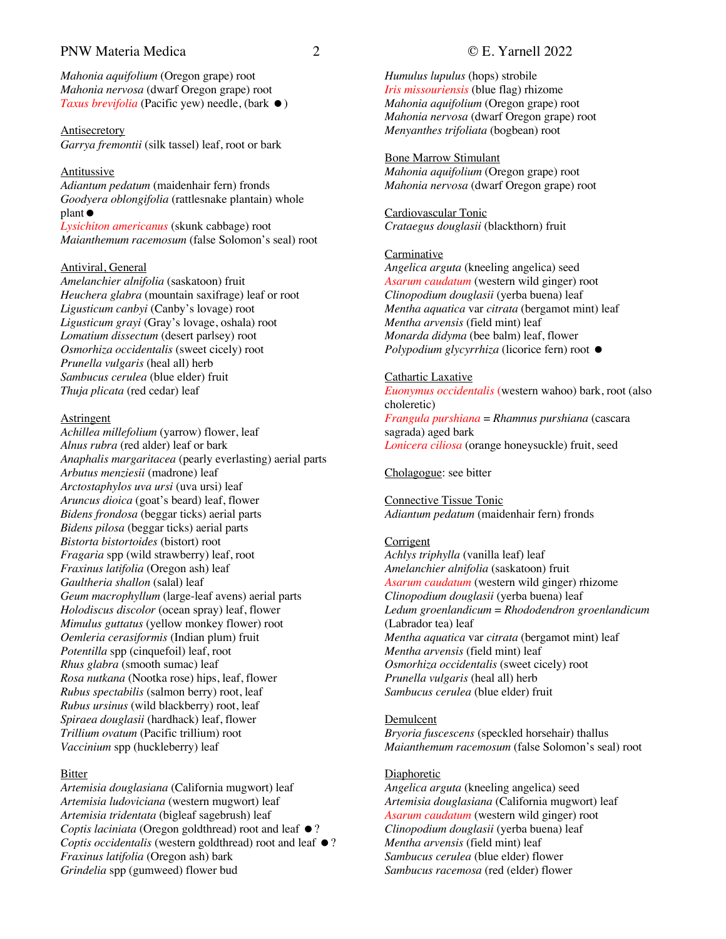# PNW Materia Medica 2 © E. Yarnell 2022

*Mahonia aquifolium* (Oregon grape) root *Mahonia nervosa* (dwarf Oregon grape) root *Taxus brevifolia* (Pacific yew) needle, (bark ●)

**Antisecretory** *Garrya fremontii* (silk tassel) leaf, root or bark

## Antitussive

*Adiantum pedatum* (maidenhair fern) fronds *Goodyera oblongifolia* (rattlesnake plantain) whole  $plan$ t $\bullet$ 

*Lysichiton americanus* (skunk cabbage) root *Maianthemum racemosum* (false Solomon's seal) root

## Antiviral, General

*Amelanchier alnifolia* (saskatoon) fruit *Heuchera glabra* (mountain saxifrage) leaf or root *Ligusticum canbyi* (Canby's lovage) root *Ligusticum grayi* (Gray's lovage, oshala) root *Lomatium dissectum* (desert parlsey) root *Osmorhiza occidentalis* (sweet cicely) root *Prunella vulgaris* (heal all) herb *Sambucus cerulea* (blue elder) fruit *Thuja plicata* (red cedar) leaf

## **Astringent**

*Achillea millefolium* (yarrow) flower, leaf *Alnus rubra* (red alder) leaf or bark *Anaphalis margaritacea* (pearly everlasting) aerial parts *Arbutus menziesii* (madrone) leaf *Arctostaphylos uva ursi* (uva ursi) leaf *Aruncus dioica* (goat's beard) leaf, flower *Bidens frondosa* (beggar ticks) aerial parts *Bidens pilosa* (beggar ticks) aerial parts *Bistorta bistortoides* (bistort) root *Fragaria* spp (wild strawberry) leaf, root *Fraxinus latifolia* (Oregon ash) leaf *Gaultheria shallon* (salal) leaf *Geum macrophyllum* (large-leaf avens) aerial parts *Holodiscus discolor* (ocean spray) leaf, flower *Mimulus guttatus* (yellow monkey flower) root *Oemleria cerasiformis* (Indian plum) fruit *Potentilla* spp (cinquefoil) leaf, root *Rhus glabra* (smooth sumac) leaf *Rosa nutkana* (Nootka rose) hips, leaf, flower *Rubus spectabilis* (salmon berry) root, leaf *Rubus ursinus* (wild blackberry) root, leaf *Spiraea douglasii* (hardhack) leaf, flower *Trillium ovatum* (Pacific trillium) root *Vaccinium* spp (huckleberry) leaf

## Bitter

*Artemisia douglasiana* (California mugwort) leaf *Artemisia ludoviciana* (western mugwort) leaf *Artemisia tridentata* (bigleaf sagebrush) leaf *Coptis laciniata* (Oregon goldthread) root and leaf  $\bullet$ ? *Coptis occidentalis* (western goldthread) root and leaf  $\bullet$ ? *Fraxinus latifolia* (Oregon ash) bark *Grindelia* spp (gumweed) flower bud

*Humulus lupulus* (hops) strobile *Iris missouriensis* (blue flag) rhizome *Mahonia aquifolium* (Oregon grape) root *Mahonia nervosa* (dwarf Oregon grape) root *Menyanthes trifoliata* (bogbean) root

Bone Marrow Stimulant *Mahonia aquifolium* (Oregon grape) root *Mahonia nervosa* (dwarf Oregon grape) root

Cardiovascular Tonic *Crataegus douglasii* (blackthorn) fruit

## Carminative

*Angelica arguta* (kneeling angelica) seed *Asarum caudatum* (western wild ginger) root *Clinopodium douglasii* (yerba buena) leaf *Mentha aquatica* var *citrata* (bergamot mint) leaf *Mentha arvensis* (field mint) leaf *Monarda didyma* (bee balm) leaf, flower *Polypodium glycyrrhiza* (licorice fern) root  $\bullet$ 

## Cathartic Laxative

*Euonymus occidentalis* (western wahoo) bark, root (also choleretic) *Frangula purshiana* = *Rhamnus purshiana* (cascara sagrada) aged bark *Lonicera ciliosa* (orange honeysuckle) fruit, seed

## Cholagogue: see bitter

Connective Tissue Tonic *Adiantum pedatum* (maidenhair fern) fronds

## **Corrigent**

*Achlys triphylla* (vanilla leaf) leaf *Amelanchier alnifolia* (saskatoon) fruit *Asarum caudatum* (western wild ginger) rhizome *Clinopodium douglasii* (yerba buena) leaf *Ledum groenlandicum* = *Rhododendron groenlandicum* (Labrador tea) leaf *Mentha aquatica* var *citrata* (bergamot mint) leaf *Mentha arvensis* (field mint) leaf *Osmorhiza occidentalis* (sweet cicely) root *Prunella vulgaris* (heal all) herb *Sambucus cerulea* (blue elder) fruit

## Demulcent

*Bryoria fuscescens* (speckled horsehair) thallus *Maianthemum racemosum* (false Solomon's seal) root

## **Diaphoretic**

*Angelica arguta* (kneeling angelica) seed *Artemisia douglasiana* (California mugwort) leaf *Asarum caudatum* (western wild ginger) root *Clinopodium douglasii* (yerba buena) leaf *Mentha arvensis* (field mint) leaf *Sambucus cerulea* (blue elder) flower *Sambucus racemosa* (red (elder) flower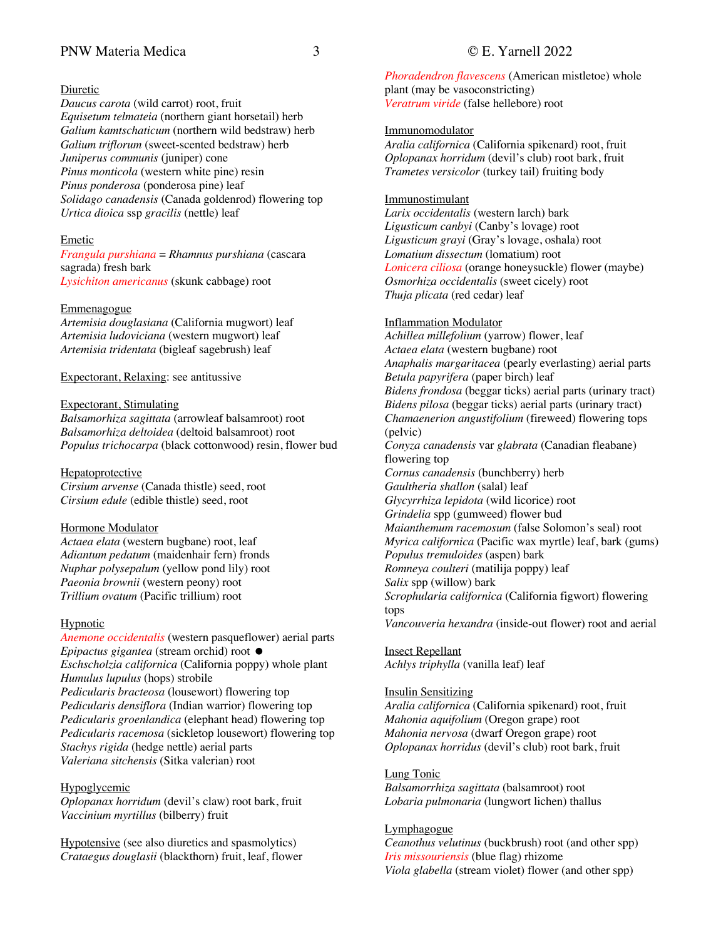# PNW Materia Medica 3 © E. Yarnell 2022

## Diuretic

*Daucus carota* (wild carrot) root, fruit *Equisetum telmateia* (northern giant horsetail) herb *Galium kamtschaticum* (northern wild bedstraw) herb *Galium triflorum* (sweet-scented bedstraw) herb *Juniperus communis* (juniper) cone *Pinus monticola* (western white pine) resin *Pinus ponderosa* (ponderosa pine) leaf *Solidago canadensis* (Canada goldenrod) flowering top *Urtica dioica* ssp *gracilis* (nettle) leaf

## Emetic

*Frangula purshiana* = *Rhamnus purshiana* (cascara sagrada) fresh bark *Lysichiton americanus* (skunk cabbage) root

## Emmenagogue

*Artemisia douglasiana* (California mugwort) leaf *Artemisia ludoviciana* (western mugwort) leaf *Artemisia tridentata* (bigleaf sagebrush) leaf

Expectorant, Relaxing: see antitussive

## Expectorant, Stimulating

*Balsamorhiza sagittata* (arrowleaf balsamroot) root *Balsamorhiza deltoidea* (deltoid balsamroot) root *Populus trichocarpa* (black cottonwood) resin, flower bud

## Hepatoprotective

*Cirsium arvense* (Canada thistle) seed, root *Cirsium edule* (edible thistle) seed, root

## Hormone Modulator

*Actaea elata* (western bugbane) root, leaf *Adiantum pedatum* (maidenhair fern) fronds *Nuphar polysepalum* (yellow pond lily) root *Paeonia brownii* (western peony) root *Trillium ovatum* (Pacific trillium) root

## **Hypnotic**

*Anemone occidentalis* (western pasqueflower) aerial parts *Epipactus gigantea* (stream orchid) root  $\bullet$ *Eschscholzia californica* (California poppy) whole plant *Humulus lupulus* (hops) strobile *Pedicularis bracteosa* (lousewort) flowering top *Pedicularis densiflora* (Indian warrior) flowering top *Pedicularis groenlandica* (elephant head) flowering top *Pedicularis racemosa* (sickletop lousewort) flowering top *Stachys rigida* (hedge nettle) aerial parts *Valeriana sitchensis* (Sitka valerian) root

## Hypoglycemic

*Oplopanax horridum* (devil's claw) root bark, fruit *Vaccinium myrtillus* (bilberry) fruit

Hypotensive (see also diuretics and spasmolytics) *Crataegus douglasii* (blackthorn) fruit, leaf, flower

*Phoradendron flavescens* (American mistletoe) whole plant (may be vasoconstricting) *Veratrum viride* (false hellebore) root

## Immunomodulator

*Aralia californica* (California spikenard) root, fruit *Oplopanax horridum* (devil's club) root bark, fruit *Trametes versicolor* (turkey tail) fruiting body

## Immunostimulant

*Larix occidentalis* (western larch) bark *Ligusticum canbyi* (Canby's lovage) root *Ligusticum grayi* (Gray's lovage, oshala) root *Lomatium dissectum* (lomatium) root *Lonicera ciliosa* (orange honeysuckle) flower (maybe) *Osmorhiza occidentalis* (sweet cicely) root *Thuja plicata* (red cedar) leaf

## Inflammation Modulator

*Achillea millefolium* (yarrow) flower, leaf *Actaea elata* (western bugbane) root *Anaphalis margaritacea* (pearly everlasting) aerial parts *Betula papyrifera* (paper birch) leaf *Bidens frondosa* (beggar ticks) aerial parts (urinary tract) *Bidens pilosa* (beggar ticks) aerial parts (urinary tract) *Chamaenerion angustifolium* (fireweed) flowering tops (pelvic) *Conyza canadensis* var *glabrata* (Canadian fleabane) flowering top *Cornus canadensis* (bunchberry) herb *Gaultheria shallon* (salal) leaf *Glycyrrhiza lepidota* (wild licorice) root *Grindelia* spp (gumweed) flower bud *Maianthemum racemosum* (false Solomon's seal) root *Myrica californica* (Pacific wax myrtle) leaf, bark (gums) *Populus tremuloides* (aspen) bark *Romneya coulteri* (matilija poppy) leaf *Salix* spp (willow) bark *Scrophularia californica* (California figwort) flowering tops *Vancouveria hexandra* (inside-out flower) root and aerial

# Insect Repellant

*Achlys triphylla* (vanilla leaf) leaf

## Insulin Sensitizing

*Aralia californica* (California spikenard) root, fruit *Mahonia aquifolium* (Oregon grape) root *Mahonia nervosa* (dwarf Oregon grape) root *Oplopanax horridus* (devil's club) root bark, fruit

## Lung Tonic

*Balsamorrhiza sagittata* (balsamroot) root *Lobaria pulmonaria* (lungwort lichen) thallus

## **Lymphagogue**

*Ceanothus velutinus* (buckbrush) root (and other spp) *Iris missouriensis* (blue flag) rhizome *Viola glabella* (stream violet) flower (and other spp)